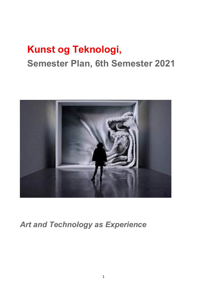# **Kunst og Teknologi, Semester Plan, 6th Semester 2021**



*Art and Technology as Experience*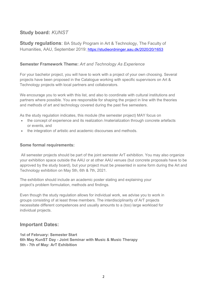# **Study board:** *KUNST*

**Study regulations**: BA Study Program in Art & Technology, The Faculty of Humanities, AAU, September 2019: https://studieordninger.aau.dk/2020/20/1653

#### **Semester Framework Theme:** *Art and Technology As Experience*

For your bachelor project, you will have to work with a project of your own choosing. Several projects have been proposed in the Catalogue working with specific supervisors on Art & Technology projects with local partners and collaborators.

We encourage you to work with this list, and also to coordinate with cultural institutions and partners where possible. You are responsible for shaping the project in line with the theories and methods of art and technology covered during the past five semesters.

As the study regulation indicates, this module (the semester project) MAY focus on

- the concept of experience and its realization /materialization through concrete artefacts or events, and
- the integration of artistic and academic discourses and methods.

#### **Some formal requirements:**

All semester projects should be part of the joint semester ArT exhibition. You may also organize your exhibition space outside the AAU or at other AAU venues (but concrete proposals have to be approved by the study board), but your project must be presented in some form during the Art and Technology exhibition on May 5th, 6th & 7th, 2021.

The exhibition should include an academic poster stating and explaining your project's problem formulation, methods and findings.

Even though the study regulation allows for individual work, we advise you to work in groups consisting of at least three members. The interdisciplinarity of ArT projects necessitate different competences and usually amounts to a (too) large workload for individual projects.

#### **Important Dates:**

**1st of February: Semester Start 6th May KunST Day - Joint Seminar with Music & Music Therapy 5th - 7th of May: ArT Exhibition**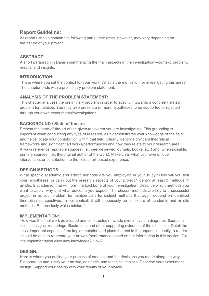# **Report Guideline:**

All reports should contain the following parts; their order, however, may vary depending on the nature of your project.

#### **ABSTRACT**:

A short paragraph in Danish summarizing the main aspects of the investigation---context, problem, results, and insights.

#### **INTRODUCTION**:

This is where you set the context for your work. What is the motivation for investigating this area? The chapter ends with a preliminary problem statement.

#### **ANALYSIS OF THE PROBLEM STATEMENT:**

This chapter analyses the preliminary problem in order to specify it towards a concisely stated problem formulation. You may also present a or more hypotheses to be supported or rejected through your own experiments/investigations.

#### **BACKGROUND / State of the art:**

Present the state-of-the-art of the given topic/area you are investigating. This grounding is important when conducting any type of research, as it demonstrates your knowledge of the field and helps locate your contribution within that field. Clearly identify significant theoretical frameworks and significant art works/performances and how they relate to your research area. Always reference reputable sources (i.e., peer-reviewed journals, books, etc.) and, when possible, primary sources (i.e., the original author of the work). Make clear what your own unique intervention, or contribution, to the field of art-based experience.

#### **DESIGN METHODS:**

What specific academic and artistic methods are you employing in your study? How will you test your hypotheses, or carry out the research aspects of your project? Identify at least 3 methods (1 artistic, 2 academic) that will form the backbone of your investigation. Describe which methods you want to apply, why and what outcome you expect. The chosen methods are key to a successful project in as your problem formulation calls for distinct methods that again depend on identified theoretical perspectives. In our context, it will supposedly be a mixture of academic and artistic methods. But precisely which mixture?

#### **IMPLEMENTATION:**

How was the final work developed and constructed? Include overall system diagrams, floorplans, scenic designs, renderings, illustrations and other supporting evidence of the exhibition. Detail the most important aspects of the implementation and place the rest in the appendix. Ideally, a reader should be able to re-create your artwork/performance based on the information in this section. Did the implementation elicit new knowledge? How?

#### **DESIGN:**

Here is where you outline your process of creation and the decisions you made along the way. Elaborate on and justify your artistic, aesthetic, and technical choices. Describe your experiment design. Support your design with your results of your review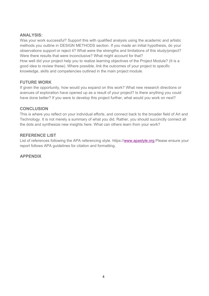#### **ANALYSIS:**

Was your work successful? Support this with qualified analysis using the academic and artistic methods you outline in DESIGN METHODS section. If you made an initial hypothesis, do your observations support or reject it? What were the strengths and limitations of this study/project? Were there results that were inconclusive? What might account for that? How well did your project help you to realize learning objectives of the Project Module? (It is a good idea to review these). Where possible, link the outcomes of your project to specific knowledge, skills and competencies outlined in the main project module.

#### **FUTURE WORK**

If given the opportunity, how would you expand on this work? What new research directions or avenues of exploration have opened up as a result of your project? Is there anything you could have done better? If you were to develop this project further, what would you work on next?

#### **CONCLUSION**

This is where you reflect on your individual efforts, and connect back to the broader field of Art and Technology. It is not merely a summary of what you did. Rather, you should succinctly connect all the dots and synthesize new insights here. What can others learn from your work?

#### **REFERENCE LIST**

List of references following the APA referencing style. https://www.apastyle.org Please ensure your report follows APA guidelines for citation and formatting.

**APPENDIX**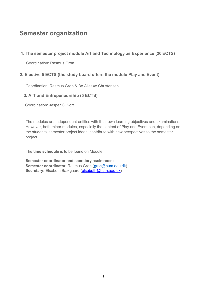# **Semester organization**

### **1. The semester project module Art and Technology as Experience (20 ECTS)**

Coordination: Rasmus Grøn

#### **2. Elective 5 ECTS (the study board offers the module Play and Event)**

Coordination: Rasmus Grøn & Bo Allesøe Christensen

#### **3. ArT and Entrepeneurship (5 ECTS)**

Coordination: Jesper C. Sort

The modules are independent entities with their own learning objectives and examinations. However, both minor modules, especially the content of Play and Event can, depending on the students' semester project ideas, contribute with new perspectives to the semester project.

The **time schedule** is to be found on Moodle.

**Semester coordinator and secretary assistance: Semester coordinator**: Rasmus Grøn (gron@hum.aau.dk) **Secretary:** Elsebeth Bækgaard (elsebeth@hum.aau.dk)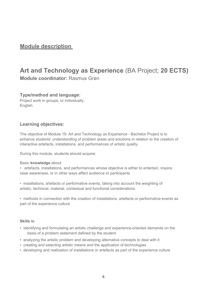# **Module description**

# **Art and Technology as Experience** (BA Project; **20 ECTS) Module coordinator:** Rasmus Grøn

#### **Type/method and language:**

Project work in groups, or individually. English

### **Learning objectives:**

The objective of Module 19: Art and Technology as Experience - Bachelor Project is to enhance students' understanding of problem areas and solutions in relation to the creation of interactive artefacts, installations, and performances of artistic quality.

During this module, students should acquire:

#### Basic **knowledge** about:

• artefacts, installations, and performances whose objective is either to entertain, inspire, raise awareness, or in other ways affect audience or participants

• installations, artefacts or performative events, taking into account the weighting of artistic, technical, material, contextual and functional considerations

• methods in connection with the creation of installations, artefacts or performative events as part of the experience culture

#### **Skills in**

- identifying and formulating an artistic challenge and experience-oriented demands on the basis of a problem statement defined by the student
- analyzing the artistic problem and developing alternative concepts to deal with it
- creating and selecting artistic means and the application of technologies
- developing and realization of installations or artefacts as part of the experience culture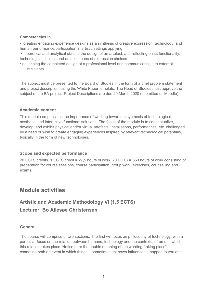#### **Competencies in**

• creating engaging experience designs as a synthesis of creative expression, technology, and human performance/participation in artistic settings applying

• theoretical and analytical skills to the design of an artefact, and reflecting on its functionality, technological choices and artistic means of expression choices

• describing the completed design at a professional level and communicating it to external recipients.

The subject must be presented to the Board of Studies in the form of a brief problem statement and project description, using the White Paper template. The Head of Studies must approve the subject of the BA project. Project Descriptions are due 20 March 2020 (submitted on Moodle).

#### **Academic content**

This module emphasizes the importance of working towards a synthesis of technological, aesthetic, and interactive functional solutions. The focus of the module is to conceptualize, develop, and exhibit physical and/or virtual artefacts, installations, performances, etc. challenged by a need or wish to create engaging experiences inspired by relevant technological potentials, typically in the form of new technologies.

#### **Scope and expected performance**

20 ECTS credits. 1 ECTS credit = 27,5 hours of work. 20 ECTS = 550 hours of work consisting of preparation for course sessions, course participation, group work, exercises, counselling and exams.

# **Module activities**

# **Artistic and Academic Methodology VI (1,5 ECTS) Lecturer: Bo Allesøe Christensen**

#### **General**

The course will comprise of two sections. The first will focus on philosophy of technology, with a particular focus on the relation between humans, technology and the contextual frame in which this relation takes place. Notice here the double meaning of the wording "taking place" connoting both an event in which things – sometimes unknown influences – happen to you and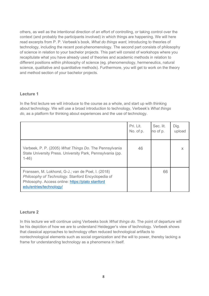others, as well as the intentional direction of an effort of controlling, or taking control over the context (and probably the participants involved) in which things are happening. We will here read excerpts from P. P. Verbeek's book, *What do things want,* introducing to theories of technology, including the recent post-phenomenology. The second part consists of philosophy of science in relation to your bachelor projects. This part will consist of workshops where you recapitulate what you have already used of theories and academic methods in relation to different positions within philosophy of science (eg. phenomenology, hermeneutics, natural science, qualitative and quantitative methods). Furthermore, you will get to work on the theory and method section of your bachelor projects.

#### **Lecture 1**

In the first lecture we will introduce to the course as a whole, and start up with thinking about technology. We will use a broad introduction to technology, Verbeek's *What things do*, as a platform for thinking about experiences and the use of technology.

|                                                                                                                                                                                           | Pri. Lit.<br>No. of p. | Sec. lit.<br>no of p. | Dig.<br>upload |
|-------------------------------------------------------------------------------------------------------------------------------------------------------------------------------------------|------------------------|-----------------------|----------------|
| Verbeek, P. P. (2005) What Things Do. The Pennsylvania<br>State University Press. University Park, Pennsylvania (pp.<br>$1-46)$                                                           | 46                     |                       | X              |
| Franssen, M. Lokhorst, G-J.; van de Poel, I. (2018)<br>Philosophy of Technology. Stanford Encyclopedia of<br>Philosophy. Access online: https://plato stanford<br>edu/entries/technology/ |                        | 66                    |                |

#### **Lecture 2**

In this lecture we will continue using Verbeeks book *What things do*. The point of departure will be his depiction of how we are to understand Heidegger's view of technology. Verbeek shows that classical approaches to technology often reduced technological artifacts to nontechnological elements such as social organization and the will to power, thereby lacking a frame for understanding technology as a phenomena in itself.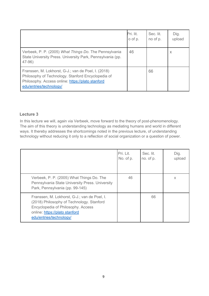|                                                                                                                                                                                           | Pri. lit.<br>o of p. | Sec. lit.<br>no of p. | Dig.<br>upload |
|-------------------------------------------------------------------------------------------------------------------------------------------------------------------------------------------|----------------------|-----------------------|----------------|
| Verbeek, P. P. (2005) What Things Do. The Pennsylvania<br>State University Press. University Park, Pennsylvania (pp.<br>$47-96)$                                                          | 46                   |                       | $\times$       |
| Franssen, M. Lokhorst, G-J.; van de Poel, I. (2018)<br>Philosophy of Technology. Stanford Encyclopedia of<br>Philosophy. Access online: https://plato stanford<br>edu/entries/technology/ |                      | 66                    |                |

#### **Lecture 3**

In this lecture we will, again via Verbeek, move forward to the theory of post-phenomenology. The aim of this theory is understanding technology as mediating humans and world in different ways. It thereby addresses the shortcomings noted in the previous lecture, of understanding technology without reducing it only to a reflection of social organization or a question of power.

|                                                                                                                                                                                              | Pri. Lit.<br>No. of p. | Sec. lit.<br>no. of p. | Dig.<br>upload |
|----------------------------------------------------------------------------------------------------------------------------------------------------------------------------------------------|------------------------|------------------------|----------------|
| Verbeek, P. P. (2005) What Things Do. The<br>Pennsylvania State University Press. University<br>Park, Pennsylvania (pp. 99-145)                                                              | 46                     |                        | X              |
| Franssen, M. Lokhorst, G-J.; van de Poel, I.<br>(2018) Philosophy of Technology. Stanford<br>Encyclopedia of Philosophy. Access<br>online: https://plato stanford<br>edu/entries/technology/ |                        | 66                     |                |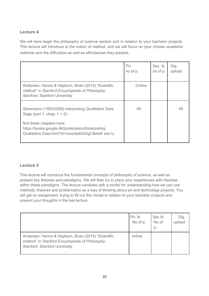# **Lecture 4**

We will here begin the philosophy of science section and in relation to your bachelor projects. This lecture will introduce to the notion of method, and we will focus on your chosen academic methods and the difficulties as well as affordances they present.

|                                                                                                                                                | Pri.<br>no of p. | Sec. lit.<br>no of p. | Dig.<br>upload |
|------------------------------------------------------------------------------------------------------------------------------------------------|------------------|-----------------------|----------------|
| Andersen, Hanne & Hepburn, Brian (2015) "Scientific<br>method" in Stanford Encyclopedia of Philosophy.<br><b>Stanford: Stanford University</b> | Online           |                       |                |
| Silvermann (1993/2008) Interpreting Qualitative Data.<br>Sage (part 1, chap. $1 + 2$ ):                                                        | 48               |                       | 48             |
| find these chapters here:<br>https://books.google.dk/books/about/Interpreting<br>Qualitative Data.html?id=uooz4p82sDgC&redir esc=y             |                  |                       |                |

#### **Lecture 5**

This lecture will introduce the fundamental concepts of philosophy of science, as well as present key theories and paradigms. We will then try to place your experiences with theories within these paradigms. The lecture condules with a model for understanding how we can use methods, theories and problematics as a way of thinking about art and technology projects. You will get an assignment, trying to fill out this model in relation to your bachelor projects and present your thoughts in the last lecture.

|                                                                                                                                                | Pri. lit.<br>No of p. | Sec lit.<br>No of<br>$p_{\ldots}$ | Dig.<br>upload |
|------------------------------------------------------------------------------------------------------------------------------------------------|-----------------------|-----------------------------------|----------------|
| Andersen, Hanne & Hepburn, Brian (2015) "Scientific<br>method" in Stanford Encyclopedia of Philosophy.<br><b>Stanford: Stanford University</b> | online                |                                   |                |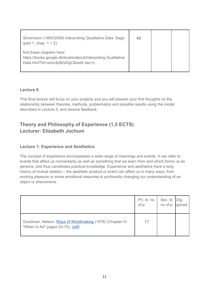| Silvermann (1993/2008) Interpreting Qualitative Data. Sage<br>(part 1, chap. $1 + 2$ ):                                            | 48 |  |
|------------------------------------------------------------------------------------------------------------------------------------|----|--|
| find these chapters here:<br>https://books.google.dk/books/about/Interpreting Qualitative<br>Data.html?id=uooz4p82sDgC&redir esc=y |    |  |

#### **Lecture 6**

This final lecture will focus on your projects and you will present your first thoughts on the relationship between theories, methods, problematics and possible results using the model described in Lecture 5, and receive feedback.

# **Theory and Philosophy of Experience (1,5 ECTS) Lecturer: Elizabeth Jochum**

### **Lecture 1: Experience and Aesthetics**

The concept of experience encompasses a wide range of meanings and events. It can refer to events that affect us momentarily as well as something that we learn from and which forms us as persons, and thus constitutes practical knowledge. Experience and aesthetics have a long history of mutual relation – the aesthetic product or event can affect us in many ways, from evoking pleasure or some emotional response to profoundly changing our understanding of an object or phenomena.

|                                                                                               | Pri. lit. no<br>of p. | Sec. lit.   Dig.<br>no of p. upload |  |
|-----------------------------------------------------------------------------------------------|-----------------------|-------------------------------------|--|
| Goodman, Nelson. Ways of Worldmaking (1978) (Chapter IV:<br>"When Is Art" pages 53-70). (pdf) | 17                    |                                     |  |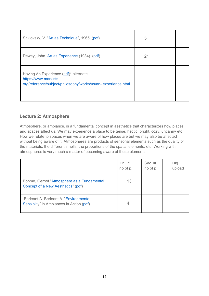| Shklovsky, V. "Art as Technique", 1965. (pdf)                                                                                 | 5  |  |
|-------------------------------------------------------------------------------------------------------------------------------|----|--|
| Dewey, John. Art as Experience (1934). (pdf)                                                                                  | 21 |  |
| Having An Experience (pdf)* alternate<br>https://www.marxists<br>org/reference/subject/philosophy/works/us/an-experience html |    |  |

# **Lecture 2: Atmosphere**

Atmosphere, or ambiance, is a fundamental concept in aesthetics that characterizes how places and spaces affect us. We may experience a place to be tense, hectic, bright, cozy, uncanny etc. How we relate to spaces when we are aware of how places are but we may also be affected without being aware of it. Atmospheres are products of sensorial elements such as the quality of the materials, the different smells, the proportions of the spatial elements, etc. Working with atmospheres is very much a matter of becoming aware of these elements.

|                                                                                          | Pri. lit.<br>no of p. | Sec. lit.<br>no of p. | Dig.<br>upload |
|------------------------------------------------------------------------------------------|-----------------------|-----------------------|----------------|
| Böhme, Gernot "Atmosphere as a Fundamental<br><b>Concept of a New Aesthetics</b> " (pdf) | 13                    |                       |                |
| Berleant A. Berleant A. "Environmental<br>Sensiblity" in Ambiances in Action (pdf)       | 4                     |                       |                |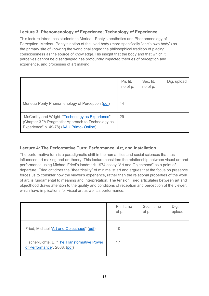# **Lecture 3: Phenomenology of Experience; Technology of Experience**

This lecture introduces students to Merleau-Ponty's aesthetics and Phenomenology of Perception. Merleau-Ponty's notion of the lived body (more specifically "one's own body") as the primary site of knowing the world challenged the philosophical tradition of placing consciousness as the source of knowledge. His insight that the body and that which it perceives cannot be disentangled has profoundly impacted theories of perception and experience, and processes of art making.

|                                                                                                                                                    | Pri. lit.<br>no of p. | Sec. lit.<br>no of p. | Dig. upload |
|----------------------------------------------------------------------------------------------------------------------------------------------------|-----------------------|-----------------------|-------------|
| Merleau-Ponty Phenomenology of Perception (pdf)                                                                                                    | 44                    |                       |             |
| McCarthy and Wright. "Technology as Experience"<br>(Chapter 3 "A Pragmatist Approach to Technology as<br>Experience" p. 49-78) (AAU Primo- Online) | 29                    |                       |             |

## **Lecture 4: The Performative Turn: Performance, Art, and Installation**

The performative turn is a paradigmatic shift in the humanities and social sciences that has influenced art making and art theory. This lecture considers the relationship between visual art and performance using Michael Fried's landmark 1974 essay "Art and Objecthood" as a point of departure. Fried criticizes the "theatricality" of minimalist art and argues that the focus on presence forces us to consider how the viewer's experience, rather than the relational properties of the work of art, is fundamental to meaning and interpretation. The tension Fried articulates between art and objecthood draws attention to the quality and conditions of reception and perception of the viewer, which have implications for visual art as well as performance.

|                                                                              | Pri. lit. no<br>of p. | Sec. lit. no<br>of p. | Dig.<br>upload |
|------------------------------------------------------------------------------|-----------------------|-----------------------|----------------|
| Fried, Michael "Art and Objecthood" (pdf)                                    | 10                    |                       |                |
| Fischer-Lichte, E. "The Transformative Power<br>of Performance", 2008. (pdf) | 17                    |                       |                |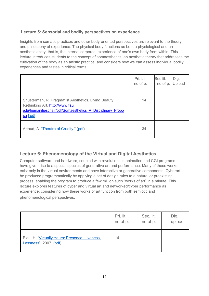# **Lecture 5: Sensorial and bodily perspectives on experience**

Insights from somatic practices and other body-oriented perspectives are relevant to the theory and philosophy of experience. The physical body functions as both a physiological and an aesthetic entity, that is, the internal corporeal experience of one's own body from within. This lecture introduces students to the concept of somaesthetics, an aesthetic theory that addresses the cultivation of the body as an artistic practice, and considers how we can assess individual bodily experiences and tastes in critical terms.

|                                                                                                                                                                  | Pri. Lit.<br>no of p. | Sec lit.<br>no of p. | Dig.<br>Jpload |
|------------------------------------------------------------------------------------------------------------------------------------------------------------------|-----------------------|----------------------|----------------|
| Shusterman, R. Pragmatist Aesthetics. Living Beauty,<br>Rethinking Art. http://www.fau<br>edu/humanitieschair/pdf/Somaesthetics A Disciplinary Propo<br>sa I pdf | 14                    |                      |                |
| Artaud, A. "Theatre of Cruelty." (pdf)                                                                                                                           | 34                    |                      |                |

# **Lecture 6: Phenomenology of the Virtual and Digital Aesthetics**

Computer software and hardware, coupled with revolutions in animation and CGI programs have given rise to a special species of generative art and performance. Many of these works exist only in the virtual environments and have interactive or generative components. Cyberart be produced programmatically by applying a set of design rules to a natural or preexisting process, enabling the program to produce a few million such "works of art" in a minute. This lecture explores features of cyber and virtual art and networked/cyber performance as experience, considering how these works of art function from both semiotic and phenomenological perspectives.

|                                                                          | Pri. lit.<br>no of p. | Sec. lit.<br>no of p. | Dig.<br>upload |
|--------------------------------------------------------------------------|-----------------------|-----------------------|----------------|
| Blau, H. "Virtually Yours: Presence, Liveness,<br>Lessness", 2007. (pdf) | 14                    |                       |                |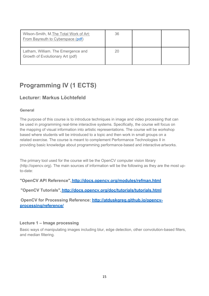| Wilson-Smith, M. The Total Work of Art:<br>From Bayreuth to Cyberspace (pdf) | 36 |  |
|------------------------------------------------------------------------------|----|--|
| Latham, William. The Emergence and<br>Growth of Evolutionary Art (pdf)       | 20 |  |

# **Programming IV (1 ECTS)**

# **Lecturer: Markus Löchtefeld**

#### **General**

The purpose of this course is to introduce techniques in image and video processing that can be used in programming real-time interactive systems. Specifically, the course will focus on the mapping of visual information into artistic representations. The course will be workshop based where students will be introduced to a topic and then work in small groups on a related exercise. The course is meant to complement Performance Technologies II in providing basic knowledge about programming performance-based and interactive artworks.

The primary tool used for the course will be the OpenCV computer vision library (http://opencv.org). The main sources of information will be the following as they are the most upto-date:

**"OpenCV API Reference", http://docs.opencv.org/modules/refman.html**

**"OpenCV Tutorials", http://docs.opencv.org/doc/tutorials/tutorials.html**

**OpenCV for Processing Reference: http://atduskgreg.github.io/opencvprocessing/reference/**

#### **Lecture 1 – Image processing**

Basic ways of manipulating images including blur, edge detection, other convolution-based filters, and median filtering.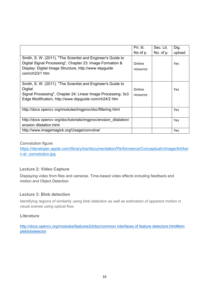|                                                                                                                                                                                                     | Pri. lit.          | Sec. Lit. | Dig.       |
|-----------------------------------------------------------------------------------------------------------------------------------------------------------------------------------------------------|--------------------|-----------|------------|
|                                                                                                                                                                                                     | No of p.           | No. of p. | upload     |
| Smith, S. W. (2011). "The Scientist and Engineer's Guide to<br>Digital Signal Processing", Chapter 23: Image Formation &<br>Display: Digital Image Structure, http://www dspguide<br>com/ch23/1 htm | Online<br>resource |           | <b>Yes</b> |
| Smith, S. W. (2011). "The Scientist and Engineer's Guide to<br>Digital<br>Signal Processing", Chapter 24: Linear Image Processing: 3x3<br>Edge Modification, http://www dspguide com/ch24/2 htm     | Online<br>resource |           | <b>Yes</b> |
| http://docs.opencv.org/modules/imgproc/doc/filtering.html                                                                                                                                           |                    |           | <b>Yes</b> |
| http://docs.opencv.org/doc/tutorials/imgproc/erosion_dilatation/<br>erosion dilatation.html                                                                                                         |                    |           | Yes        |
| http://www.imagemagick.org/Usage/convolve/                                                                                                                                                          |                    |           | Yes        |

#### Convolution figure:

https://developer.apple.com/library/ios/documentation/Performance/Conceptual/vImage/Art/ker n el convolution.jpg

#### **Lecture 2: Video Capture**

Displaying video from files and cameras. Time-based video effects including feedback and motion and Object Detection

#### **Lecture 3: Blob detection**

Identifying regions of similarity using blob detection as well as estimation of apparent motion in visual scenes using optical flow.

#### **Literature**

http://docs.opencv.org/modules/features2d/doc/common interfaces of feature detectors.html#sim pleblobdetector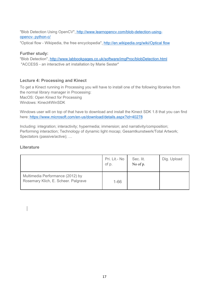"Blob Detection Using OpenCV", http://www.learnopencv.com/blob-detection-usingopencv- python-c/

"Optical flow - Wikipedia, the free encyclopedia", http://en.wikipedia.org/wiki/Optical flow

#### **Further study:**

"Blob Detection", http://www.labbookpages.co.uk/software/imgProc/blobDetection.html "ACCESS - an interactive art installation by Marie Sester"

### **Lecture 4: Processing and Kinect**

To get a Kinect running in Processing you will have to install one of the following libraries from the normal library manager in Processing: MacOS: Open Kinect for Processing Windows: Kinect4WinSDK

Windows user will on top of that have to download and install the Kinect SDK 1.8 that you can find here: https://www.microsoft.com/en-us/download/details.aspx?id=40278

Including: integration; interactivity; hypermedia; immersion; and narrativity/composition; Performing interaction; Technology of dynamic light mocap; Gesamtkunstwerk/Total Artwork; Spectators (passive/active); …

### **Literature**

|                                                                         | Pri. Lit.- No<br>of p. | Sec. lit.<br>No of p. | Dig. Upload |
|-------------------------------------------------------------------------|------------------------|-----------------------|-------------|
| Multimedia Performance (2012) by<br>Rosemary Klich, E. Scheer. Palgrave | $1 - 66$               |                       |             |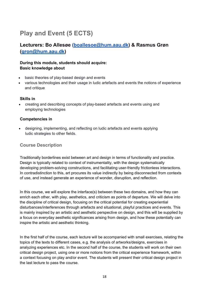# **Play and Event (5 ECTS)**

# **Lecturers: Bo Allesøe (boallesoe@hum.aau.dk) & Rasmus Grøn (gron@hum.aau.dk)**

#### **During this module, students should acquire: Basic knowledge about**

- basic theories of play-based design and events
- various technologies and their usage in ludic artefacts and events the notions of experience and critique

#### **Skills in**

 creating and describing concepts of play-based artefacts and events using and employing technologies

#### **Competencies in**

 designing, implementing, and reflecting on ludic artefacts and events applying ludic strategies to other fields.

#### **Course Description**

Traditionally borderlines exist between art and design in terms of functionality and practice. Design is typically related to context of instrumentality, with the design systematically developing problem-solving constructions, and facilitating user-friendly frictionless interactions. In contradistinction to this, art procures its value indirectly by being disconnected from contexts of use, and instead generate an experience of wonder, disruption, and reflection.

In this course, we will explore the interface(s) between these two domains, and how they can enrich each other, with play, aesthetics, and criticism as points of departure. We will delve into the discipline of critical design, focusing on the critical potential for creating experiential disturbances/interferences through artefacts and situational, playful practices and events. This is mainly inspired by an artistic and aesthetic perspective on design, and this will be supplied by a focus on everyday aesthetic significances arising from design, and how these potentially can inspire the artistic and aesthetic thinking.

In the first half of the course, each lecture will be accompanied with small exercises, relating the topics of the texts to different cases, e.g. the analysis of artworks/designs, exercises in analyzing experiences etc. In the second half of the course, the students will work on their own critical design project, using one or more notions from the critical experience framework, within a context focusing on play and/or event. The students will present their critical design project in the last lecture to pass the course.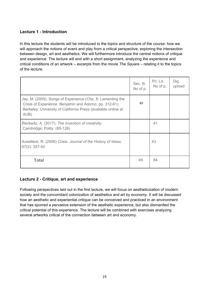# **Lecture 1 - Introduction**

In this lecture the students will be introduced to the topics and structure of the course: how we will approach the notions of event and play from a critical perspective, exploring the intersection between design, art and aesthetics. We will furthermore introduce the central notions of critique and experience. The lecture will end with a short assignment, analyzing the experience and critical conditions of an artwork – excerpts from the movie *The Square* – relating it to the topics of the lecture.

|                                                                                                                                                                                                | Sec. lit.<br>No of p. | Pri. Lit.<br>No of p. | Dig.<br>upload |
|------------------------------------------------------------------------------------------------------------------------------------------------------------------------------------------------|-----------------------|-----------------------|----------------|
| Jay, M. (2005). Songs of Experience (Chp. 8: Lamenting the<br>Crisis of Experience: Benjamin and Adorno; pp. 312-61).<br>Berkeley: University of California Press (available online at<br>AUB) | 49                    |                       |                |
| Reckwitz, A. (2017). The invention of creativity.<br>Cambridge: Polity. (85-126)                                                                                                               |                       | 41                    |                |
| Koselleck, R. (2006) Crisis. Journal of the History of Ideas,<br>67(2): 357-40                                                                                                                 |                       | 43                    |                |
| <b>Total</b>                                                                                                                                                                                   | 49                    | 84                    |                |

#### **Lecture 2 - Critique, art and experience**

Following perspectives laid out in the first lecture, we will focus on aestheticization of modern society and the concomitant colonization of aesthetics and art by economy. It will be discussed how an aesthetic and experiential critique can be conceived and practiced in an environment that has spurred a pervasive extension of the aesthetic experience, but also dismantled the critical potential of this experience. The lecture will be combined with exercises analyzing several artworks critical of the connection between art and economy.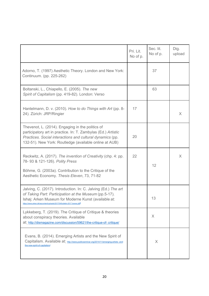|                                                                                                                                                                                                                                                             | Pri. Lit.<br>No of p. | Sec. lit.<br>No of p. | Dig.<br>upload |
|-------------------------------------------------------------------------------------------------------------------------------------------------------------------------------------------------------------------------------------------------------------|-----------------------|-----------------------|----------------|
| Adorno, T. (1997) Aesthetic Theory. London and New York:<br>Continuum. (pp. 225-262)                                                                                                                                                                        |                       | 37                    |                |
| Boltanski, L., Chiapello, E. (2005). The new<br>Spirit of Capitalism (pp. 419-82). London: Verso                                                                                                                                                            |                       | 63                    |                |
| Hantelmann, D. v. (2010). How to do Things with Art (pp. 8-<br>24). Zürich: JRP/Ringier                                                                                                                                                                     | 17                    |                       | $\times$       |
| Thevenot, L. (2014). Engaging in the politics of<br>participatory art in practice. In: T. Zambylas (Ed.) Artistic<br>Practices. Social interactions and cultural dynamics (pp.<br>132-51). New York: Routledge (available online at AUB)                    | 20                    |                       |                |
| Reckwitz, A. (2017). The invention of Creativity (chp. 4: pp.<br>78- 93 & 121-126). Polity Press<br>Böhme, G. (2003a). Contribution to the Critique of the<br>Aesthetic Economy. Thesis Eleven, 73, 71-82                                                   | 22                    | 12                    | $\times$       |
| Jalving, C. (2017). Introduction. In: C. Jalving (Ed.) The art<br>of Taking Part: Participation at the Museum (pp.5-17).<br>Ishøj: Arken Museum for Moderne Kunst (available at:<br>https://www.arken.dk/wpcontent/uploads/2017/04/bulletin-2017 lowres.pdf |                       | 13                    |                |
| Lykkeberg, T. (2019). The Critique of Critique & theories<br>about conspiracy theories. Available<br>at: http://dismagazine.com/discussion/59621/the-critique-of- critique/                                                                                 |                       | X                     |                |
| Evans, B. (2014). Emerging Artists and the New Spirit of<br>Capitalism. Available at: http://www.publicseminar.org/2014/11/emerging-artists- and-<br>the-new-spirit-of-capitalism/                                                                          |                       | X                     |                |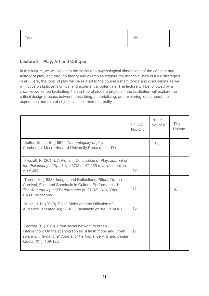| Total | 59 |  |  |
|-------|----|--|--|
|-------|----|--|--|

# **Lecture 3 – Play, Art and Critique**

In this lecture, we will look into the social and psychological dimensions of the concept and activity of play, and through theory and examples explore the manifold uses of ludic strategies in art. Here, the topic of play will be related to the course's main topics and discussions as we will focus on ludic art's critical and experiential potentials. The lecture will be followed by a creative workshop facilitating the start-up of student projects – the facilitation will explore the critical design process between describing, materializing, and exploring ideas about the experience and role of objects in socio-material reality.

|                                                                                                                                                                                                             | Pri. Lit.<br>No. of p. | Pri. Lit.<br>No. of p. | Dig.<br>Upload |
|-------------------------------------------------------------------------------------------------------------------------------------------------------------------------------------------------------------|------------------------|------------------------|----------------|
| Sutton-Smith, B. (1997). The ambiguity of play.<br>Cambridge, Mass: Harvard University Press (pp. 1-17)                                                                                                     |                        | 18                     |                |
| Feezell, R. (2010). A Pluralist Conception of Play. Journal of<br>the Philosophy of Sport, Vol.37(2), 147-165 (available online<br>via AUB)                                                                 | 19                     |                        |                |
| Turner, V. (1988). Images and Reflections: Ritual, Drama,<br>Carnival, Film, and Spectacle in Cultural Performance. I:<br>The Anthropology of Performance (s. 21-32). New York:<br><b>PAJ Publications.</b> | 12                     |                        | X              |
| Muse, J. H. (2010). Flash Mobs and the Diffusion of<br>Audience. Theater, 40(3), 9-23. (available online via AUB)                                                                                           | 15                     |                        |                |
| Brejzek, T. (2010). From social network to urban<br>intervention: On the scenographies of flash mobs and urban<br>swarms. International Journal of Performance Arts and Digital<br>Media, 6(1), 109-122.    | 13                     |                        |                |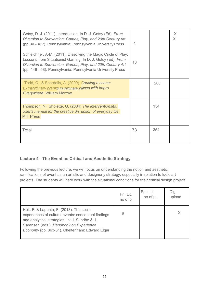| Getsy, D. J. (2011). Introduction. In D. J. Getsy (Ed). From<br>Diversion to Subversion. Games, Play, and 20th Century Art<br>(pp. XI - XIV). Pennsylvania: Pennsylvania University Press.<br>Schleichner, A-M. (2011). Dissolving the Magic Circle of Play:<br>Lessons from Situationist Gaming. In D. J. Getsy (Ed). From<br>Diversion to Subversion. Games, Play, and 20th Century Art<br>(pp. 149 - 58). Pennsylvania: Pennsylvania University Press | 4<br>10 |     | X<br>X |
|----------------------------------------------------------------------------------------------------------------------------------------------------------------------------------------------------------------------------------------------------------------------------------------------------------------------------------------------------------------------------------------------------------------------------------------------------------|---------|-----|--------|
| Todd, C., & Scordelis, A. (2009). Causing a scene:<br>Extraordinary pranks in ordinary places with Impro<br>Everywhere. William Morrow.                                                                                                                                                                                                                                                                                                                  |         | 200 |        |
| Thompson, N., Sholette, G. (2004) The interventionsits.<br>User's manual for the creative disruption of everyday life.<br><b>MIT Press</b>                                                                                                                                                                                                                                                                                                               |         | 154 |        |
| Total                                                                                                                                                                                                                                                                                                                                                                                                                                                    | 73      | 354 |        |

# **Lecture 4 - The Event as Critical and Aesthetic Strategy**

Following the previous lecture, we will focus on understanding the notion and aesthetic ramifications of event as an artistic and designerly strategy, especially in relation to ludic art projects. The students will here work with the situational conditions for their critical design project**.**

|                                                                                                                                                                                                                                                | Pri. Lit. | Sec. Lit. | Dig.   |
|------------------------------------------------------------------------------------------------------------------------------------------------------------------------------------------------------------------------------------------------|-----------|-----------|--------|
|                                                                                                                                                                                                                                                | no of p.  | no of p.  | upload |
| Holt, F. & Lapenta, F. (2013). The social<br>experiences of cultural events: conceptual findings<br>and analytical strategies. In: J. Sundbo & J.<br>Sørensen (eds.). Handbook on Experience<br>Economy (pp. 363-81). Cheltenham: Edward Elgar | 18        |           | X      |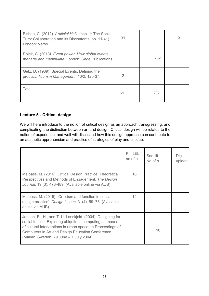| Bishop, C. (2012). Artificial Hells (chp. 1: The Social<br>Turn: Collaboration and its Discontents; pp. 11-41).<br>London: Verso | 31 |     | Χ |
|----------------------------------------------------------------------------------------------------------------------------------|----|-----|---|
| Rojek, C. (2013). Event power. How global events<br>manage and manipulate. London: Sage Publications                             |    | 202 |   |
| Getz, D. (1989). Special Events. Defining the<br>product. Tourism Management, 10/2, 125-37.                                      | 12 |     |   |
| Total                                                                                                                            | 61 | 202 |   |

## **Lecture 5 - Critical design**

We will here introduce to the notion of critical design as an approach transgressing, and complicating, the distinction between art and design. Critical design will be related to the notion of experience, and weit will discussed how this design approach can contribute to an aesthetic apprehension and practice of strategies of play and critique.

|                                                                                                                                                                                                                                                                                            | Pri. Litt.<br>no of p. | Sec. lit.<br>No of p. | Dig.<br>upload |
|--------------------------------------------------------------------------------------------------------------------------------------------------------------------------------------------------------------------------------------------------------------------------------------------|------------------------|-----------------------|----------------|
| Malpass, M. (2016). Critical Design Practice: Theoretical<br>Perspectives and Methods of Engagement. The Design<br>Journal, 19 (3), 473-489. (Available online via AUB)                                                                                                                    | 16                     |                       |                |
| Malpass, M. (2015). 'Criticism and function in critical<br>design practice'. Design Issues, 31(4), 59-73. (Available<br>online via AUB)                                                                                                                                                    | 14                     |                       |                |
| Jensen, R., H., and T. U. Lenskiold. (2004). Designing for<br>social friction: Exploring ubiquitous computing as means<br>of cultural interventions in urban space. In Proceedings of<br><b>Computers in Art and Design Education Conference</b><br>(Malmö, Sweden, 29 June - 1 July 2004) |                        | 10                    |                |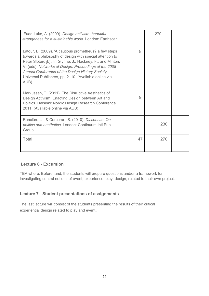| Fuad-Luke, A. (2009). Design activism: beautiful<br>strangeness for a sustainable world. London: Earthscan                                                                                                                                                                                                                                                      |    | 270 |  |
|-----------------------------------------------------------------------------------------------------------------------------------------------------------------------------------------------------------------------------------------------------------------------------------------------------------------------------------------------------------------|----|-----|--|
| Latour, B. (2009). 'A cautious prometheus? a few steps<br>towards a philosophy of design with special attention to<br>Peter Sloterdijk)'. In Glynne, J., Hackney, F., and Minton,<br>V. (eds), Networks of Design: Proceedings of the 2008<br>Annual Conference of the Design History Society.<br>Universal Publishers, pp. 2-10. (Available online via<br>AUB) | 8  |     |  |
| Markussen, T. (2011). The Disruptive Aesthetics of<br>Design Activism: Enacting Design between Art and<br>Politics. Helsinki: Nordic Design Research Conference<br>2011. (Available online via AUB)                                                                                                                                                             | 9  |     |  |
| Rancière, J., & Corcoran, S. (2010). Dissensus: On<br>politics and aesthetics. London: Continuum Intl Pub<br>Group                                                                                                                                                                                                                                              |    | 230 |  |
| Total                                                                                                                                                                                                                                                                                                                                                           | 47 | 270 |  |

#### **Lecture 6 - Excursion**

TBA where. Beforehand, the students will prepare questions and/or a framework for investigating central notions of event, experience, play, design, related to their own project.

### **Lecture 7 - Student presentations of assignments**

The last lecture will consist of the students presenting the results of their critical experiential design related to play and event.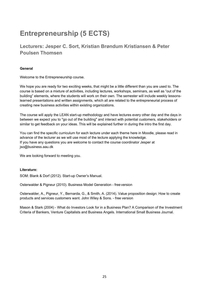# **Entrepreneurship (5 ECTS)**

# **Lecturers: Jesper C. Sort, Kristian Brøndum Kristiansen & Peter Poulsen Thomsen**

#### **General**

Welcome to the Entrepreneurship course.

We hope you are ready for two exciting weeks, that might be a little different than you are used to. The course is based on a mixture of activities, including lectures, workshops, seminars, as well as "out of the building" elements, where the students will work on their own. The semester will include weekly lessonslearned presentations and written assignments, which all are related to the entrepreneurial process of creating new business activities within existing organizations.

The course will apply the LEAN start-up methodology and have lectures every other day and the days in between we expect you to "go out of the building" and interact with potential customers, stakeholders or similar to get feedback on your ideas. This will be explained further in during the intro the first day.

You can find the specific curriculum for each lecture under each theme here in Moodle, please read in advance of the lecturer as we will use most of the lecture applying the knowledge. If you have any questions you are welcome to contact the course coordinator Jesper at jso@business.aau.dk

We are looking forward to meeting you.

#### **Literature:**

SOM: Blank & Dorf (2012). Start-up Owner's Manual.

Osterwalder & Pigneur (2010). Business Model Generation - free version

Osterwalder, A., Pigneur, Y., Bernarda, G., & Smith, A. (2014). Value proposition design: How to create products and services customers want. John Wiley & Sons. - free version

Mason & Stark (2004) - What do Investors Look for in a Business Plan? A Comparison of the Investment Criteria of Bankers, Venture Capitalists and Business Angels. International Small Business Journal.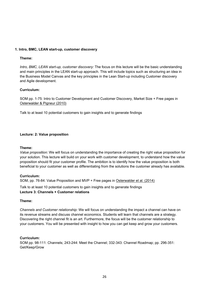#### **1. Intro, BMC, LEAN start-up, customer discovery**

#### **Theme:**

*Intro, BMC, LEAN start-up, customer discovery:* The focus on this lecture will be the basic understanding and main principles in the LEAN start-up approach. This will include topics such as structuring an idea in the Business Model Canvas and the key principles in the Lean Start-up including Customer discovery and Agile development.

#### **Curriculum:**

SOM pp. 1-75: Intro to Customer Development and Customer Discovery, Market Size + Free pages in Osterwalder & Pigneur (2010)

Talk to at least 10 potential customers to gain insights and to generate findings

#### **Lecture: 2: Value proposition**

#### **Theme:**

*Value proposition:* We will focus on understanding the importance of creating the right value proposition for your solution. This lecture will build on your work with customer development, to understand how the value proposition should fit your customer profile. The ambition is to identify how the value proposition is both beneficial to your customer as well as differentiating from the solutions the customer already has available.

#### **Curriculum:**

SOM, pp. 76-84: Value Proposition and MVP + Free pages in Osterwalder et al. (2014)

Talk to at least 10 potential customers to gain insights and to generate findings **Lecture 3: Channels + Customer relations** 

#### **Theme:**

*Channels and Customer relationship:* We will focus on understanding the impact a channel can have on its revenue streams and discuss channel economics. Students will learn that channels are a strategy. Discovering the right channel fit is an art. Furthermore, the focus will be the customer relationship to your customers. You will be presented with insight to how you can get keep and grow your customers.

#### **Curriculum:**

SOM pp. 98-111: Channels; 243-244: Meet the Channel; 332-343: Channel Roadmap; pp. 296-351: Get/Keep/Grow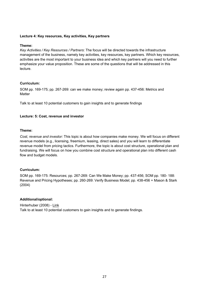#### **Lecture 4: Key resources, Key activities, Key partners**

#### **Theme:**

*Key Activities / Key Resources / Partners*: The focus will be directed towards the infrastructure management of the business, namely key activities, key resources, key partners. Which key resources, activities are the most important to your business idea and which key partners will you need to further emphasize your value proposition. These are some of the questions that will be addressed in this lecture.

#### **Curriculum:**

SOM pp. 169-175; pp. 267-269: can we make money; review again pp. 437-456: Metrics and **Matter** 

Talk to at least 10 potential customers to gain insights and to generate findings

#### **Lecture: 5: Cost, revenue and investor**

#### **Theme:**

*Cost, revenue and investor:* This topic is about how companies make money. We will focus on different revenue models (e.g., licensing, freemium, leasing, direct sales) and you will learn to differentiate revenue model from pricing tactics. Furthermore, the topic is about cost structure, operational plan and fundraising. We will focus on how you combine cost structure and operational plan into different cash flow and budget models.

#### **Curriculum:**

SOM pp. 169-175: Resources; pp. 267-269: Can We Make Money; pp. 437-456; SOM pp. 180- 188: Revenue and Pricing Hypotheses; pp. 260-269: Verify Business Model; pp. 438-456 + Mason & Stark (2004)

#### **Additional/optional:**

Hinterhuber (2008) - Link Talk to at least 10 potential customers to gain insights and to generate findings.